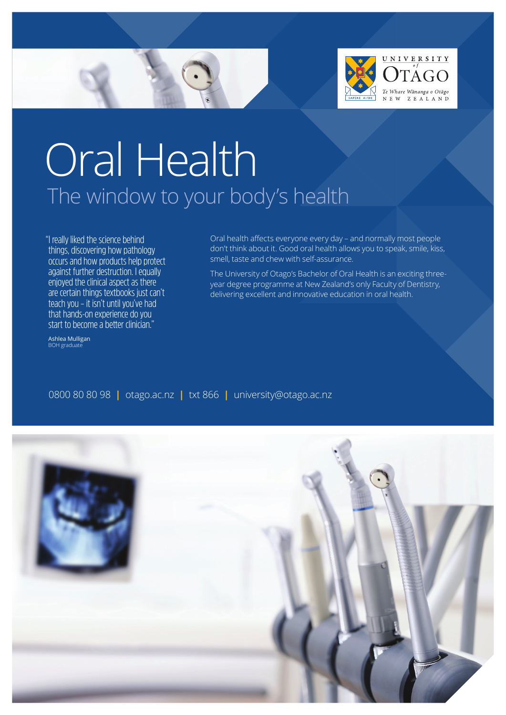



# Oral Health The window to your body's health

"I really liked the science behind things, discovering how pathology occurs and how products help protect against further destruction. I equally enjoyed the clinical aspect as there are certain things textbooks just can't teach you – it isn't until you've had that hands-on experience do you start to become a better clinician."

Ashlea Mulligan BOH graduate

Oral health afects everyone every day – and normally most people don't think about it. Good oral health allows you to speak, smile, kiss, smell, taste and chew with self-assurance.

The University of Otago's Bachelor of Oral Health is an exciting threeyear degree programme at New Zealand's only Faculty of Dentistry, delivering excellent and innovative education in oral health.

0800 80 80 98 **|** otago.ac.nz **|** txt 866 **|** university@otago.ac.nz